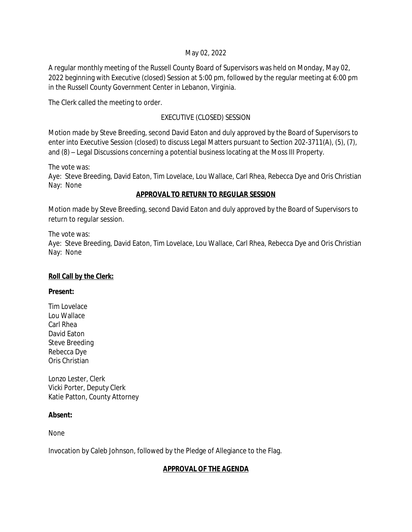#### May 02, 2022

A regular monthly meeting of the Russell County Board of Supervisors was held on Monday, May 02, 2022 beginning with Executive (closed) Session at 5:00 pm, followed by the regular meeting at 6:00 pm in the Russell County Government Center in Lebanon, Virginia.

The Clerk called the meeting to order.

## EXECUTIVE (CLOSED) SESSION

Motion made by Steve Breeding, second David Eaton and duly approved by the Board of Supervisors to enter into Executive Session (closed) to discuss Legal Matters pursuant to Section 202-3711(A), (5), (7), and (8) – Legal Discussions concerning a potential business locating at the Moss III Property.

The vote was:

Aye: Steve Breeding, David Eaton, Tim Lovelace, Lou Wallace, Carl Rhea, Rebecca Dye and Oris Christian Nay: None

### **APPROVAL TO RETURN TO REGULAR SESSION**

Motion made by Steve Breeding, second David Eaton and duly approved by the Board of Supervisors to return to regular session.

The vote was:

Aye: Steve Breeding, David Eaton, Tim Lovelace, Lou Wallace, Carl Rhea, Rebecca Dye and Oris Christian Nay: None

## **Roll Call by the Clerk:**

#### **Present:**

Tim Lovelace Lou Wallace Carl Rhea David Eaton Steve Breeding Rebecca Dye Oris Christian

Lonzo Lester, Clerk Vicki Porter, Deputy Clerk Katie Patton, County Attorney

## **Absent:**

None

Invocation by Caleb Johnson, followed by the Pledge of Allegiance to the Flag.

## **APPROVAL OF THE AGENDA**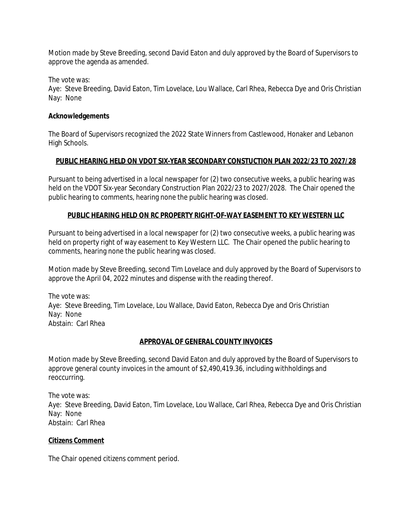Motion made by Steve Breeding, second David Eaton and duly approved by the Board of Supervisors to approve the agenda as amended.

The vote was:

Aye: Steve Breeding, David Eaton, Tim Lovelace, Lou Wallace, Carl Rhea, Rebecca Dye and Oris Christian Nay: None

#### **Acknowledgements**

The Board of Supervisors recognized the 2022 State Winners from Castlewood, Honaker and Lebanon High Schools.

#### **PUBLIC HEARING HELD ON VDOT SIX-YEAR SECONDARY CONSTUCTION PLAN 2022/23 TO 2027/28**

Pursuant to being advertised in a local newspaper for (2) two consecutive weeks, a public hearing was held on the VDOT Six-year Secondary Construction Plan 2022/23 to 2027/2028. The Chair opened the public hearing to comments, hearing none the public hearing was closed.

#### **PUBLIC HEARING HELD ON RC PROPERTY RIGHT-OF-WAY EASEMENT TO KEY WESTERN LLC**

Pursuant to being advertised in a local newspaper for (2) two consecutive weeks, a public hearing was held on property right of way easement to Key Western LLC. The Chair opened the public hearing to comments, hearing none the public hearing was closed.

Motion made by Steve Breeding, second Tim Lovelace and duly approved by the Board of Supervisors to approve the April 04, 2022 minutes and dispense with the reading thereof.

The vote was: Aye: Steve Breeding, Tim Lovelace, Lou Wallace, David Eaton, Rebecca Dye and Oris Christian Nay: None Abstain: Carl Rhea

#### **APPROVAL OF GENERAL COUNTY INVOICES**

Motion made by Steve Breeding, second David Eaton and duly approved by the Board of Supervisors to approve general county invoices in the amount of \$2,490,419.36, including withholdings and reoccurring.

The vote was: Aye: Steve Breeding, David Eaton, Tim Lovelace, Lou Wallace, Carl Rhea, Rebecca Dye and Oris Christian Nay: None Abstain: Carl Rhea

#### **Citizens Comment**

The Chair opened citizens comment period.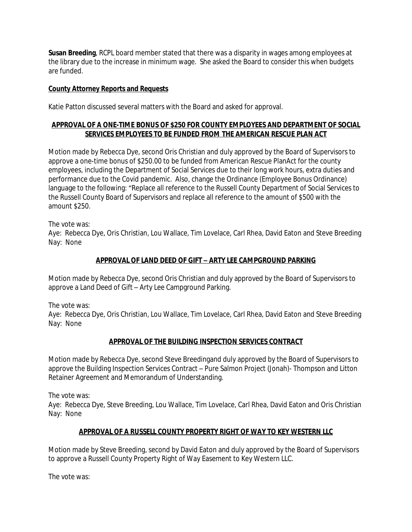**Susan Breeding**, RCPL board member stated that there was a disparity in wages among employees at the library due to the increase in minimum wage. She asked the Board to consider this when budgets are funded.

### **County Attorney Reports and Requests**

Katie Patton discussed several matters with the Board and asked for approval.

### **APPROVAL OF A ONE-TIME BONUS OF \$250 FOR COUNTY EMPLOYEES AND DEPARTMENT OF SOCIAL SERVICES EMPLOYEES TO BE FUNDED FROM THE AMERICAN RESCUE PLAN ACT**

Motion made by Rebecca Dye, second Oris Christian and duly approved by the Board of Supervisors to approve a one-time bonus of \$250.00 to be funded from American Rescue PlanAct for the county employees, including the Department of Social Services due to their long work hours, extra duties and performance due to the Covid pandemic. Also, change the Ordinance (Employee Bonus Ordinance) language to the following: "Replace all reference to the Russell County Department of Social Services to the Russell County Board of Supervisors and replace all reference to the amount of \$500 with the amount \$250.

The vote was:

Aye: Rebecca Dye, Oris Christian, Lou Wallace, Tim Lovelace, Carl Rhea, David Eaton and Steve Breeding Nay: None

## **APPROVAL OF LAND DEED OF GIFT – ARTY LEE CAMPGROUND PARKING**

Motion made by Rebecca Dye, second Oris Christian and duly approved by the Board of Supervisors to approve a Land Deed of Gift – Arty Lee Campground Parking.

The vote was:

Aye: Rebecca Dye, Oris Christian, Lou Wallace, Tim Lovelace, Carl Rhea, David Eaton and Steve Breeding Nay: None

## **APPROVAL OF THE BUILDING INSPECTION SERVICES CONTRACT**

Motion made by Rebecca Dye, second Steve Breedingand duly approved by the Board of Supervisors to approve the Building Inspection Services Contract – Pure Salmon Project (Jonah)- Thompson and Litton Retainer Agreement and Memorandum of Understanding.

The vote was:

Aye: Rebecca Dye, Steve Breeding, Lou Wallace, Tim Lovelace, Carl Rhea, David Eaton and Oris Christian Nay: None

## **APPROVAL OF A RUSSELL COUNTY PROPERTY RIGHT OF WAY TO KEY WESTERN LLC**

Motion made by Steve Breeding, second by David Eaton and duly approved by the Board of Supervisors to approve a Russell County Property Right of Way Easement to Key Western LLC.

The vote was: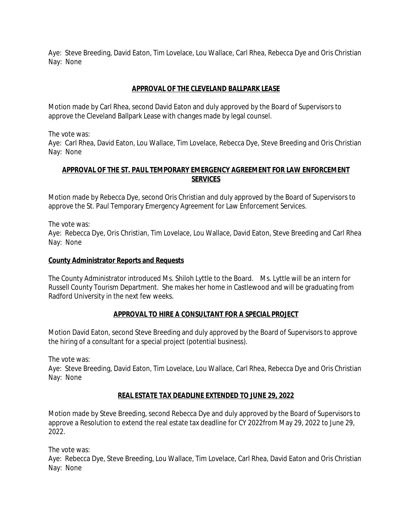Aye: Steve Breeding, David Eaton, Tim Lovelace, Lou Wallace, Carl Rhea, Rebecca Dye and Oris Christian Nay: None

### **APPROVAL OF THE CLEVELAND BALLPARK LEASE**

Motion made by Carl Rhea, second David Eaton and duly approved by the Board of Supervisors to approve the Cleveland Ballpark Lease with changes made by legal counsel.

The vote was:

Aye: Carl Rhea, David Eaton, Lou Wallace, Tim Lovelace, Rebecca Dye, Steve Breeding and Oris Christian Nay: None

### **APPROVAL OF THE ST. PAUL TEMPORARY EMERGENCY AGREEMENT FOR LAW ENFORCEMENT SERVICES**

Motion made by Rebecca Dye, second Oris Christian and duly approved by the Board of Supervisors to approve the St. Paul Temporary Emergency Agreement for Law Enforcement Services.

The vote was:

Aye: Rebecca Dye, Oris Christian, Tim Lovelace, Lou Wallace, David Eaton, Steve Breeding and Carl Rhea Nay: None

#### **County Administrator Reports and Requests**

The County Administrator introduced Ms. Shiloh Lyttle to the Board. Ms. Lyttle will be an intern for Russell County Tourism Department. She makes her home in Castlewood and will be graduating from Radford University in the next few weeks.

#### **APPROVAL TO HIRE A CONSULTANT FOR A SPECIAL PROJECT**

Motion David Eaton, second Steve Breeding and duly approved by the Board of Supervisors to approve the hiring of a consultant for a special project (potential business).

The vote was:

Aye: Steve Breeding, David Eaton, Tim Lovelace, Lou Wallace, Carl Rhea, Rebecca Dye and Oris Christian Nay: None

#### **REAL ESTATE TAX DEADLINE EXTENDED TO JUNE 29, 2022**

Motion made by Steve Breeding, second Rebecca Dye and duly approved by the Board of Supervisors to approve a Resolution to extend the real estate tax deadline for CY 2022from May 29, 2022 to June 29, 2022.

The vote was:

Aye: Rebecca Dye, Steve Breeding, Lou Wallace, Tim Lovelace, Carl Rhea, David Eaton and Oris Christian Nay: None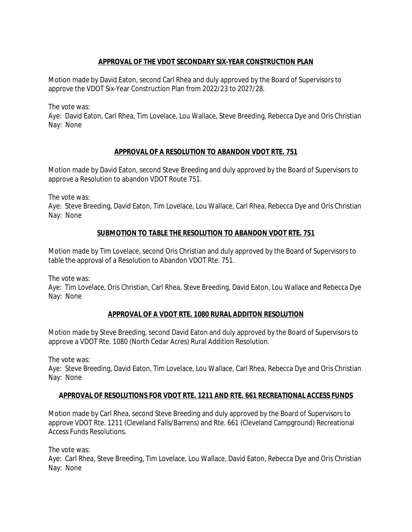## **APPROVAL OF THE VDOT SECONDARY SIX-YEAR CONSTRUCTION PLAN**

Motion made by David Eaton, second Carl Rhea and duly approved by the Board of Supervisors to approve the VDOT Six-Year Construction Plan from 2022/23 to 2027/28.

The vote was:

Aye: David Eaton, Carl Rhea, Tim Lovelace, Lou Wallace, Steve Breeding, Rebecca Dye and Oris Christian Nay: None

# **APPROVAL OF A RESOLUTION TO ABANDON VDOT RTE. 751**

Motion made by David Eaton, second Steve Breeding and duly approved by the Board of Supervisors to approve a Resolution to abandon VDOT Route 751.

The vote was:

Aye: Steve Breeding, David Eaton, Tim Lovelace, Lou Wallace, Carl Rhea, Rebecca Dye and Oris Christian Nay: None

## **SUBMOTION TO TABLE THE RESOLUTION TO ABANDON VDOT RTE. 751**

Motion made by Tim Lovelace, second Oris Christian and duly approved by the Board of Supervisors to table the approval of a Resolution to Abandon VDOT Rte. 751.

The vote was:

Aye: Tim Lovelace, Oris Christian, Carl Rhea, Steve Breeding, David Eaton, Lou Wallace and Rebecca Dye Nay: None

## **APPROVAL OF A VDOT RTE. 1080 RURAL ADDITON RESOLUTION**

Motion made by Steve Breeding, second David Eaton and duly approved by the Board of Supervisors to approve a VDOT Rte. 1080 (North Cedar Acres) Rural Addition Resolution.

The vote was:

Aye: Steve Breeding, David Eaton, Tim Lovelace, Lou Wallace, Carl Rhea, Rebecca Dye and Oris Christian Nay: None

## **APPROVAL OF RESOLUTIONS FOR VDOT RTE. 1211 AND RTE. 661 RECREATIONAL ACCESS FUNDS**

Motion made by Carl Rhea, second Steve Breeding and duly approved by the Board of Supervisors to approve VDOT Rte. 1211 (Cleveland Falls/Barrens) and Rte. 661 (Cleveland Campground) Recreational Access Funds Resolutions.

The vote was:

Aye: Carl Rhea, Steve Breeding, Tim Lovelace, Lou Wallace, David Eaton, Rebecca Dye and Oris Christian Nay: None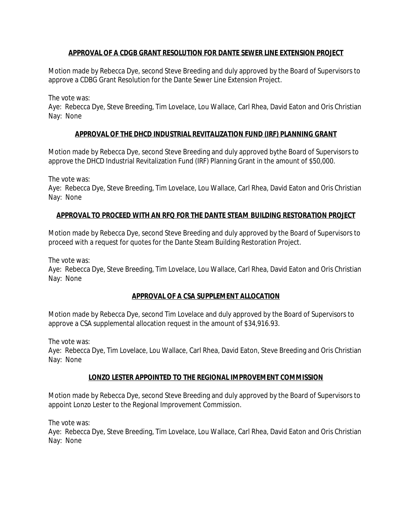### **APPROVAL OF A CDGB GRANT RESOLUTION FOR DANTE SEWER LINE EXTENSION PROJECT**

Motion made by Rebecca Dye, second Steve Breeding and duly approved by the Board of Supervisors to approve a CDBG Grant Resolution for the Dante Sewer Line Extension Project.

The vote was:

Aye: Rebecca Dye, Steve Breeding, Tim Lovelace, Lou Wallace, Carl Rhea, David Eaton and Oris Christian Nay: None

### **APPROVAL OF THE DHCD INDUSTRIAL REVITALIZATION FUND (IRF) PLANNING GRANT**

Motion made by Rebecca Dye, second Steve Breeding and duly approved bythe Board of Supervisors to approve the DHCD Industrial Revitalization Fund (IRF) Planning Grant in the amount of \$50,000.

The vote was:

Aye: Rebecca Dye, Steve Breeding, Tim Lovelace, Lou Wallace, Carl Rhea, David Eaton and Oris Christian Nay: None

## **APPROVAL TO PROCEED WITH AN RFQ FOR THE DANTE STEAM BUILDING RESTORATION PROJECT**

Motion made by Rebecca Dye, second Steve Breeding and duly approved by the Board of Supervisors to proceed with a request for quotes for the Dante Steam Building Restoration Project.

The vote was:

Aye: Rebecca Dye, Steve Breeding, Tim Lovelace, Lou Wallace, Carl Rhea, David Eaton and Oris Christian Nay: None

## **APPROVAL OF A CSA SUPPLEMENT ALLOCATION**

Motion made by Rebecca Dye, second Tim Lovelace and duly approved by the Board of Supervisors to approve a CSA supplemental allocation request in the amount of \$34,916.93.

The vote was:

Aye: Rebecca Dye, Tim Lovelace, Lou Wallace, Carl Rhea, David Eaton, Steve Breeding and Oris Christian Nay: None

#### **LONZO LESTER APPOINTED TO THE REGIONAL IMPROVEMENT COMMISSION**

Motion made by Rebecca Dye, second Steve Breeding and duly approved by the Board of Supervisors to appoint Lonzo Lester to the Regional Improvement Commission.

The vote was:

Aye: Rebecca Dye, Steve Breeding, Tim Lovelace, Lou Wallace, Carl Rhea, David Eaton and Oris Christian Nay: None